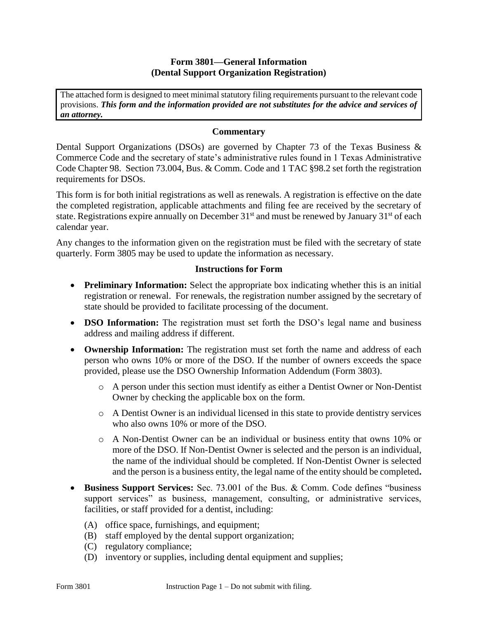### **Form 3801—General Information (Dental Support Organization Registration)**

The attached form is designed to meet minimal statutory filing requirements pursuant to the relevant code provisions. *This form and the information provided are not substitutes for the advice and services of an attorney.*

#### **Commentary**

Dental Support Organizations (DSOs) are governed by Chapter 73 of the Texas Business & Commerce Code and the secretary of state's administrative rules found in 1 Texas Administrative Code Chapter 98. Section 73.004, Bus. & Comm. Code and 1 TAC §98.2 set forth the registration requirements for DSOs.

This form is for both initial registrations as well as renewals. A registration is effective on the date the completed registration, applicable attachments and filing fee are received by the secretary of state. Registrations expire annually on December  $31<sup>st</sup>$  and must be renewed by January  $31<sup>st</sup>$  of each calendar year.

Any changes to the information given on the registration must be filed with the secretary of state quarterly. Form 3805 may be used to update the information as necessary.

#### **Instructions for Form**

- **Preliminary Information:** Select the appropriate box indicating whether this is an initial registration or renewal. For renewals, the registration number assigned by the secretary of state should be provided to facilitate processing of the document.
- **DSO Information:** The registration must set forth the DSO's legal name and business address and mailing address if different.
- **Ownership Information:** The registration must set forth the name and address of each person who owns 10% or more of the DSO. If the number of owners exceeds the space provided, please use the DSO Ownership Information Addendum (Form 3803).
	- o A person under this section must identify as either a Dentist Owner or Non-Dentist Owner by checking the applicable box on the form.
	- o A Dentist Owner is an individual licensed in this state to provide dentistry services who also owns 10% or more of the DSO.
	- o A Non-Dentist Owner can be an individual or business entity that owns 10% or more of the DSO. If Non-Dentist Owner is selected and the person is an individual, the name of the individual should be completed. If Non-Dentist Owner is selected and the person is a business entity, the legal name of the entity should be completed**.**
- **Business Support Services:** Sec. 73.001 of the Bus. & Comm. Code defines "business support services" as business, management, consulting, or administrative services, facilities, or staff provided for a dentist, including:
	- (A) office space, furnishings, and equipment;
	- (B) staff employed by the dental support organization;
	- (C) regulatory compliance;
	- (D) inventory or supplies, including dental equipment and supplies;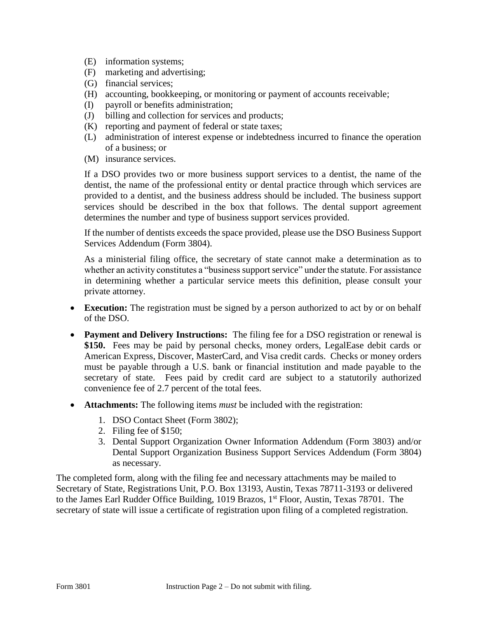- (E) information systems;
- (F) marketing and advertising;
- (G) financial services;
- (H) accounting, bookkeeping, or monitoring or payment of accounts receivable;
- (I) payroll or benefits administration;
- (J) billing and collection for services and products;
- (K) reporting and payment of federal or state taxes;
- (L) administration of interest expense or indebtedness incurred to finance the operation of a business; or
- (M) insurance services.

If a DSO provides two or more business support services to a dentist, the name of the dentist, the name of the professional entity or dental practice through which services are provided to a dentist, and the business address should be included. The business support services should be described in the box that follows. The dental support agreement determines the number and type of business support services provided.

If the number of dentists exceeds the space provided, please use the DSO Business Support Services Addendum (Form 3804).

As a ministerial filing office, the secretary of state cannot make a determination as to whether an activity constitutes a "business support service" under the statute. For assistance in determining whether a particular service meets this definition, please consult your private attorney.

- **Execution:** The registration must be signed by a person authorized to act by or on behalf of the DSO.
- **Payment and Delivery Instructions:** The filing fee for a DSO registration or renewal is **\$150.** Fees may be paid by personal checks, money orders, LegalEase debit cards or American Express, Discover, MasterCard, and Visa credit cards. Checks or money orders must be payable through a U.S. bank or financial institution and made payable to the secretary of state. Fees paid by credit card are subject to a statutorily authorized convenience fee of 2.7 percent of the total fees.
- **Attachments:** The following items *must* be included with the registration:
	- 1. DSO Contact Sheet (Form 3802);
	- 2. Filing fee of \$150;
	- 3. Dental Support Organization Owner Information Addendum (Form 3803) and/or Dental Support Organization Business Support Services Addendum (Form 3804) as necessary.

The completed form, along with the filing fee and necessary attachments may be mailed to Secretary of State, Registrations Unit, P.O. Box 13193, Austin, Texas 78711-3193 or delivered to the James Earl Rudder Office Building, 1019 Brazos, 1<sup>st</sup> Floor, Austin, Texas 78701. The secretary of state will issue a certificate of registration upon filing of a completed registration.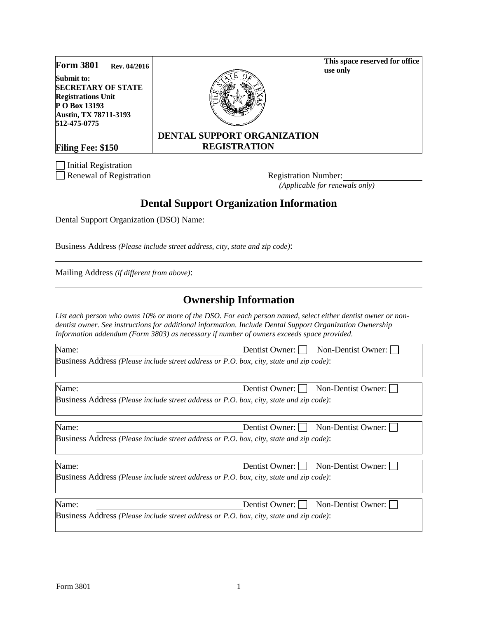| Submit to:<br><b>SECRETARY OF STATE</b><br><b>Registrations Unit</b><br>P O Box 13193<br><b>Austin, TX 78711-3193</b><br>512-475-0775 | иэс ошу                                                                                                                                                                                                                                                                                                                |
|---------------------------------------------------------------------------------------------------------------------------------------|------------------------------------------------------------------------------------------------------------------------------------------------------------------------------------------------------------------------------------------------------------------------------------------------------------------------|
|                                                                                                                                       | <b>DENTAL SUPPORT ORGANIZATION</b>                                                                                                                                                                                                                                                                                     |
| <b>Filing Fee: \$150</b>                                                                                                              | <b>REGISTRATION</b>                                                                                                                                                                                                                                                                                                    |
| Initial Registration<br>Renewal of Registration                                                                                       | <b>Registration Number:</b><br>(Applicable for renewals only)                                                                                                                                                                                                                                                          |
|                                                                                                                                       | <b>Dental Support Organization Information</b>                                                                                                                                                                                                                                                                         |
| Dental Support Organization (DSO) Name:                                                                                               |                                                                                                                                                                                                                                                                                                                        |
|                                                                                                                                       | Business Address (Please include street address, city, state and zip code):                                                                                                                                                                                                                                            |
| Mailing Address (if different from above):                                                                                            |                                                                                                                                                                                                                                                                                                                        |
|                                                                                                                                       | <b>Ownership Information</b>                                                                                                                                                                                                                                                                                           |
|                                                                                                                                       | List each person who owns 10% or more of the DSO. For each person named, select either dentist owner or non-<br>dentist owner. See instructions for additional information. Include Dental Support Organization Ownership<br>Information addendum (Form 3803) as necessary if number of owners exceeds space provided. |
| Name:                                                                                                                                 | Dentist Owner:  <br>Non-Dentist Owner:                                                                                                                                                                                                                                                                                 |
|                                                                                                                                       | Business Address (Please include street address or P.O. box, city, state and zip code):                                                                                                                                                                                                                                |
| Name:                                                                                                                                 | Dentist Owner:  <br>Non-Dentist Owner:                                                                                                                                                                                                                                                                                 |
|                                                                                                                                       | Business Address (Please include street address or P.O. box, city, state and zip code):                                                                                                                                                                                                                                |
| Name:                                                                                                                                 | Dentist Owner:  <br>Non-Dentist Owner:                                                                                                                                                                                                                                                                                 |
|                                                                                                                                       | Business Address (Please include street address or P.O. box, city, state and zip code):                                                                                                                                                                                                                                |
|                                                                                                                                       |                                                                                                                                                                                                                                                                                                                        |

**This space reserved for office** 

**use only** 

Name: Non-Dentist Owner: Non-Dentist Owner: Non-Dentist Owner: Non-Business Address *(Please include street address or P.O. box, city, state and zip code)*: Name: Non-Dentist Owner: Non-Dentist Owner: Non-Dentist Owner: Non-Business Address *(Please include street address or P.O. box, city, state and zip code)*:

Form 3801 1

**Form 3801 Rev. 04/2016**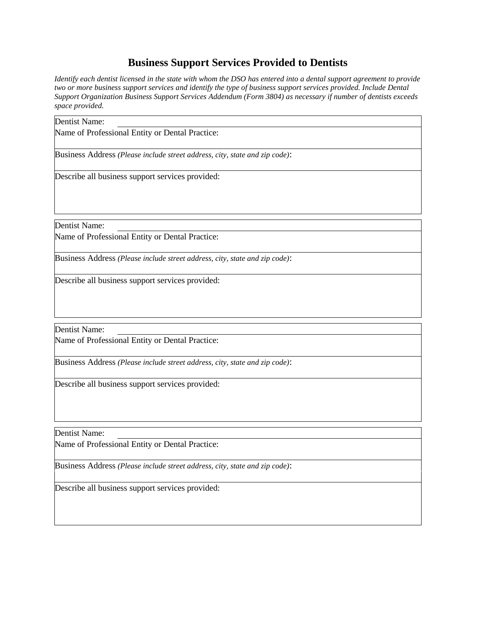# **Business Support Services Provided to Dentists**

*Identify each dentist licensed in the state with whom the DSO has entered into a dental support agreement to provide two or more business support services and identify the type of business support services provided. Include Dental Support Organization Business Support Services Addendum (Form 3804) as necessary if number of dentists exceeds space provided.* 

| Dentist Name:                                                               |  |
|-----------------------------------------------------------------------------|--|
| Name of Professional Entity or Dental Practice:                             |  |
| Business Address (Please include street address, city, state and zip code): |  |
| Describe all business support services provided:                            |  |
| Dentist Name:                                                               |  |

Name of Professional Entity or Dental Practice:

Business Address *(Please include street address, city, state and zip code)*:

Describe all business support services provided:

Dentist Name:

Name of Professional Entity or Dental Practice:

Business Address *(Please include street address, city, state and zip code)*:

Describe all business support services provided:

Dentist Name:

Name of Professional Entity or Dental Practice:

Business Address *(Please include street address, city, state and zip code)*:

Describe all business support services provided: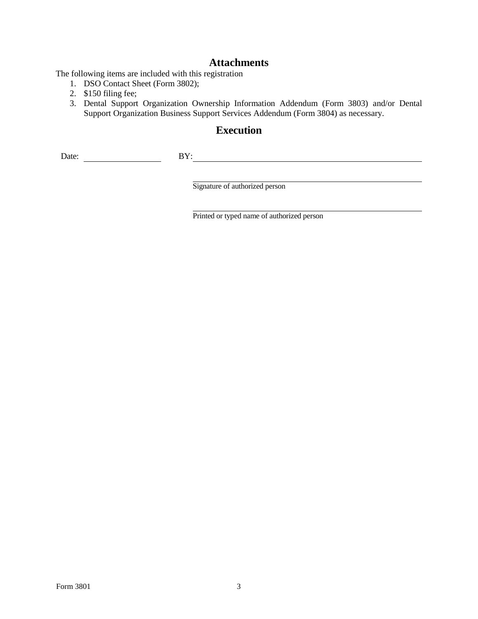### **Attachments**

The following items are included with this registration

- 1. DSO Contact Sheet (Form 3802);
- 2. \$150 filing fee;
- 3. Dental Support Organization Ownership Information Addendum (Form 3803) and/or Dental Support Organization Business Support Services Addendum (Form 3804) as necessary.

# **Execution**

Date: BY: BY:

Signature of authorized person

Printed or typed name of authorized person